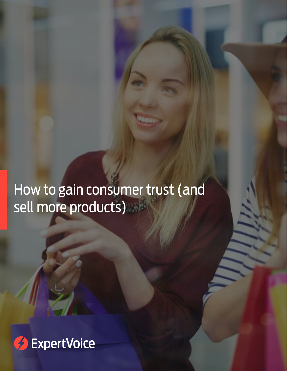# How to gain consumer trust (and sell more products)

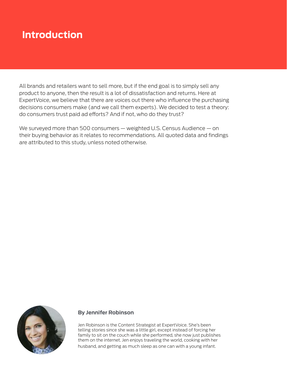## **Introduction**

All brands and retailers want to sell more, but if the end goal is to simply sell any product to anyone, then the result is a lot of dissatisfaction and returns. Here at ExpertVoice, we believe that there are voices out there who influence the purchasing decisions consumers make (and we call them experts). We decided to test a theory: do consumers trust paid ad efforts? And if not, who do they trust?

We surveyed more than 500 consumers — weighted U.S. Census Audience — on their buying behavior as it relates to recommendations. All quoted data and findings are attributed to this study, unless noted otherwise.



#### **By Jennifer Robinson**

Jen Robinson is the Content Strategist at ExpertVoice. She's been telling stories since she was a little girl, except instead of forcing her family to sit on the couch while she performed, she now just publishes them on the internet. Jen enjoys traveling the world, cooking with her husband, and getting as much sleep as one can with a young infant.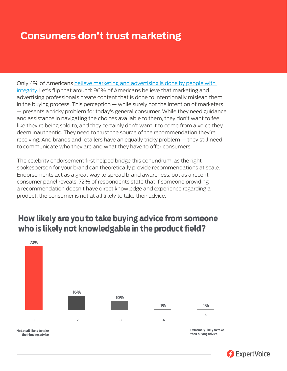### **Consumers don't trust marketing**

**Consumers don't trust marketing**

Only 4% of Americans [believe marketing and advertising is done by people with](http://adage.com/article/media/marketers-media-trusts/298221/)  [integrity. L](http://adage.com/article/media/marketers-media-trusts/298221/)et's flip that around: 96% of Americans believe that marketing and advertising professionals create content that is done to intentionally mislead them in the buying process. This perception — while surely not the intention of marketers — presents a tricky problem for today's general consumer. While they need guidance and assistance in navigating the choices available to them, they don't want to feel like they're being sold to, and they certainly don't want it to come from a voice they deem inauthentic. They need to trust the source of the recommendation they're receiving. And brands and retailers have an equally tricky problem — they still need to communicate who they are and what they have to offer consumers.

The celebrity endorsement first helped bridge this conundrum, as the right spokesperson for your brand can theoretically provide recommendations at scale. Endorsements act as a great way to spread brand awareness, but as a recent consumer panel reveals, 72% of respondents state that if someone providing a recommendation doesn't have direct knowledge and experience regarding a product, the consumer is not at all likely to take their advice.



#### **How likely are you to take buying advice from someone** who is likely not knowledgable in the product field?

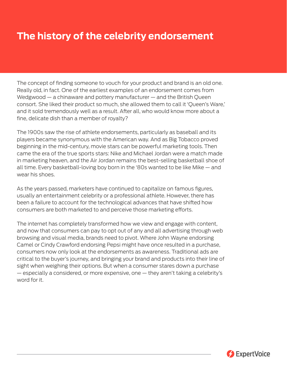## **The history of the celebrity endorsement**

The concept of finding someone to vouch for your product and brand is an old one. Really old, in fact. One of the earliest examples of an endorsement comes from Wedgwood — a chinaware and pottery manufacturer — and the British Queen consort. She liked their product so much, she allowed them to call it 'Queen's Ware,' and it sold tremendously well as a result. After all, who would know more about a fine, delicate dish than a member of royalty?

The 1900s saw the rise of athlete endorsements, particularly as baseball and its players became synonymous with the American way. And as Big Tobacco proved beginning in the mid-century, movie stars can be powerful marketing tools. Then came the era of the true sports stars: Nike and Michael Jordan were a match made in marketing heaven, and the Air Jordan remains the best-selling basketball shoe of all time. Every basketball-loving boy born in the '80s wanted to be like Mike — and wear his shoes.

As the years passed, marketers have continued to capitalize on famous figures, usually an entertainment celebrity or a professional athlete. However, there has been a failure to account for the technological advances that have shifted how consumers are both marketed to and perceive those marketing efforts.

The internet has completely transformed how we view and engage with content, and now that consumers can pay to opt out of any and all advertising through web browsing and visual media, brands need to pivot. Where John Wayne endorsing Camel or Cindy Crawford endorsing Pepsi might have once resulted in a purchase, consumers now only look at the endorsements as awareness. Traditional ads are critical to the buyer's journey, and bringing your brand and products into their line of sight when weighing their options. But when a consumer stares down a purchase — especially a considered, or more expensive, one — they aren't taking a celebrity's word for it.

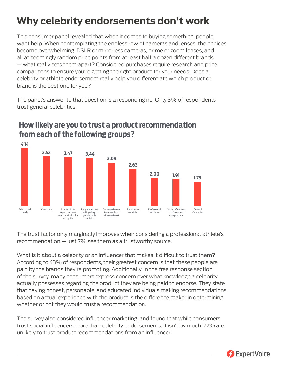# **Why celebrity endorsements don't work**

This consumer panel revealed that when it comes to buying something, people want help. When contemplating the endless row of cameras and lenses, the choices become overwhelming. DSLR or mirrorless cameras, prime or zoom lenses, and all at seemingly random price points from at least half a dozen different brands — what really sets them apart? Considered purchases require research and price comparisons to ensure you're getting the right product for your needs. Does a celebrity or athlete endorsement really help you differentiate which product or brand is the best one for you?

The panel's answer to that question is a resounding no. Only 3% of respondents trust general celebrities.



#### **How likely are you to trust a product recommendation from each of the following groups?**

The trust factor only marginally improves when considering a professional athlete's recommendation — just 7% see them as a trustworthy source.

What is it about a celebrity or an influencer that makes it difficult to trust them? According to 43% of respondents, their greatest concern is that these people are paid by the brands they're promoting. Additionally, in the free response section of the survey, many consumers express concern over what knowledge a celebrity actually possesses regarding the product they are being paid to endorse. They state that having honest, personable, and educated individuals making recommendations based on actual experience with the product is the difference maker in determining whether or not they would trust a recommendation.

The survey also considered influencer marketing, and found that while consumers trust social influencers more than celebrity endorsements, it isn't by much. 72% are unlikely to trust product recommendations from an influencer.

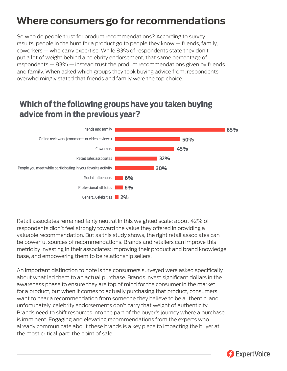# **Where consumers go for recommendations**

So who do people trust for product recommendations? According to survey results, people in the hunt for a product go to people they know — friends, family, coworkers — who carry expertise. While 83% of respondents state they don't put a lot of weight behind a celebrity endorsement, that same percentage of respondents — 83% — instead trust the product recommendations given by friends and family. When asked which groups they took buying advice from, respondents overwhelmingly stated that friends and family were the top choice.

#### **Which of the following groups have you taken buying advice from in the previous year?**



Retail associates remained fairly neutral in this weighted scale; about 42% of respondents didn't feel strongly toward the value they offered in providing a valuable recommendation. But as this study shows, the right retail associates can be powerful sources of recommendations. Brands and retailers can improve this metric by investing in their associates: improving their product and brand knowledge base, and empowering them to be relationship sellers.

An important distinction to note is the consumers surveyed were asked specifically about what led them to an actual purchase. Brands invest significant dollars in the awareness phase to ensure they are top of mind for the consumer in the market for a product, but when it comes to actually purchasing that product, consumers want to hear a recommendation from someone they believe to be authentic, and unfortunately, celebrity endorsements don't carry that weight of authenticity. Brands need to shift resources into the part of the buyer's journey where a purchase is imminent. Engaging and elevating recommendations from the experts who already communicate about these brands is a key piece to impacting the buyer at the most critical part: the point of sale.